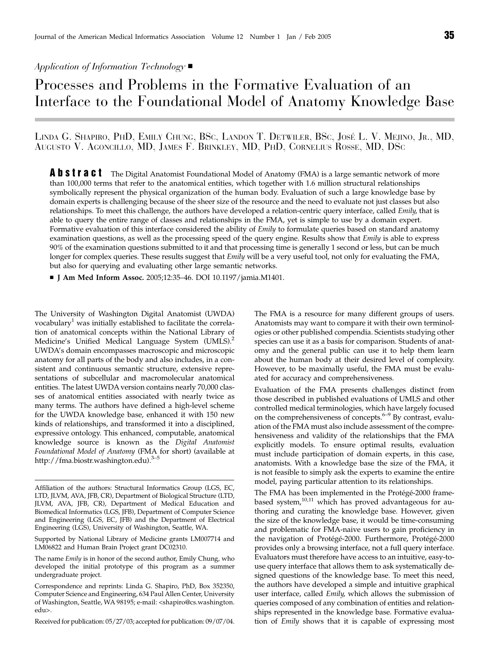# Application of Information Technology  $\blacksquare$

# Processes and Problems in the Formative Evaluation of an Interface to the Foundational Model of Anatomy Knowledge Base

LINDA G. SHAPIRO, PHD, EMILY CHUNG, BSC, LANDON T. DETWILER, BSC, JOSE´ L. V. MEJINO, JR., MD, AUGUSTO V. AGONCILLO, MD, JAMES F. BRINKLEY, MD, PHD, CORNELIUS ROSSE, MD, DSC

**Abstract** The Digital Anatomist Foundational Model of Anatomy (FMA) is a large semantic network of more than 100,000 terms that refer to the anatomical entities, which together with 1.6 million structural relationships symbolically represent the physical organization of the human body. Evaluation of such a large knowledge base by domain experts is challenging because of the sheer size of the resource and the need to evaluate not just classes but also relationships. To meet this challenge, the authors have developed a relation-centric query interface, called Emily, that is able to query the entire range of classes and relationships in the FMA, yet is simple to use by a domain expert. Formative evaluation of this interface considered the ability of Emily to formulate queries based on standard anatomy examination questions, as well as the processing speed of the query engine. Results show that *Emily* is able to express 90% of the examination questions submitted to it and that processing time is generally 1 second or less, but can be much longer for complex queries. These results suggest that *Emily* will be a very useful tool, not only for evaluating the FMA, but also for querying and evaluating other large semantic networks.

■ J Am Med Inform Assoc. 2005;12:35-46. DOI 10.1197/jamia.M1401.

The University of Washington Digital Anatomist (UWDA) vocabulary<sup>1</sup> was initially established to facilitate the correlation of anatomical concepts within the National Library of Medicine's Unified Medical Language System (UMLS).<sup>2</sup> UWDA's domain encompasses macroscopic and microscopic anatomy for all parts of the body and also includes, in a consistent and continuous semantic structure, extensive representations of subcellular and macromolecular anatomical entities. The latest UWDA version contains nearly 70,000 classes of anatomical entities associated with nearly twice as many terms. The authors have defined a high-level scheme for the UWDA knowledge base, enhanced it with 150 new kinds of relationships, and transformed it into a disciplined, expressive ontology. This enhanced, computable, anatomical knowledge source is known as the Digital Anatomist Foundational Model of Anatomy (FMA for short) (available at http://fma.biostr.washington.edu).<sup>3–5</sup>

Received for publication: 05/27/03; accepted for publication: 09/07/04.

The FMA is a resource for many different groups of users. Anatomists may want to compare it with their own terminologies or other published compendia. Scientists studying other species can use it as a basis for comparison. Students of anatomy and the general public can use it to help them learn about the human body at their desired level of complexity. However, to be maximally useful, the FMA must be evaluated for accuracy and comprehensiveness.

Evaluation of the FMA presents challenges distinct from those described in published evaluations of UMLS and other controlled medical terminologies, which have largely focused on the comprehensiveness of concepts. $6-9$  By contrast, evaluation of the FMA must also include assessment of the comprehensiveness and validity of the relationships that the FMA explicitly models. To ensure optimal results, evaluation must include participation of domain experts, in this case, anatomists. With a knowledge base the size of the FMA, it is not feasible to simply ask the experts to examine the entire model, paying particular attention to its relationships.

The FMA has been implemented in the Protégé-2000 framebased system,<sup>10,11</sup> which has proved advantageous for authoring and curating the knowledge base. However, given the size of the knowledge base, it would be time-consuming and problematic for FMA-naive users to gain proficiency in the navigation of Protégé-2000. Furthermore, Protégé-2000 provides only a browsing interface, not a full query interface. Evaluators must therefore have access to an intuitive, easy-touse query interface that allows them to ask systematically designed questions of the knowledge base. To meet this need, the authors have developed a simple and intuitive graphical user interface, called Emily, which allows the submission of queries composed of any combination of entities and relationships represented in the knowledge base. Formative evaluation of Emily shows that it is capable of expressing most

Affiliation of the authors: Structural Informatics Group (LGS, EC, LTD, JLVM, AVA, JFB, CR), Department of Biological Structure (LTD, JLVM, AVA, JFB, CR), Department of Medical Education and Biomedical Informatics (LGS, JFB), Department of Computer Science and Engineering (LGS, EC, JFB) and the Department of Electrical Engineering (LGS), University of Washington, Seattle, WA.

Supported by National Library of Medicine grants LM007714 and LM06822 and Human Brain Project grant DC02310.

The name Emily is in honor of the second author, Emily Chung, who developed the initial prototype of this program as a summer undergraduate project.

Correspondence and reprints: Linda G. Shapiro, PhD, Box 352350, Computer Science and Engineering, 634 Paul Allen Center, University of Washington, Seattle, WA 98195; e-mail: <shapiro@cs.washington. edu>.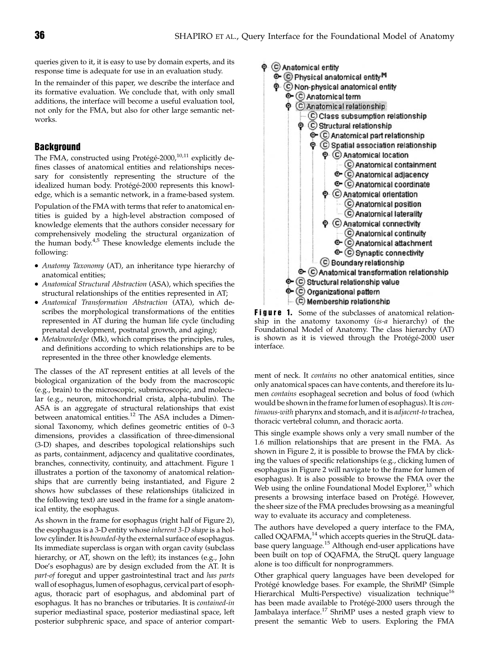queries given to it, it is easy to use by domain experts, and its response time is adequate for use in an evaluation study.

In the remainder of this paper, we describe the interface and its formative evaluation. We conclude that, with only small additions, the interface will become a useful evaluation tool, not only for the FMA, but also for other large semantic networks.

## **Background**

The FMA, constructed using Protégé-2000, $^{10,11}$  explicitly defines classes of anatomical entities and relationships necessary for consistently representing the structure of the idealized human body. Protégé-2000 represents this knowledge, which is a semantic network, in a frame-based system.

Population of the FMA with terms that refer to anatomical entities is guided by a high-level abstraction composed of knowledge elements that the authors consider necessary for comprehensively modeling the structural organization of the human body.<sup>4,5</sup> These knowledge elements include the following:

- Anatomy Taxonomy (AT), an inheritance type hierarchy of anatomical entities;
- Anatomical Structural Abstraction (ASA), which specifies the structural relationships of the entities represented in AT;
- Anatomical Transformation Abstraction (ATA), which describes the morphological transformations of the entities represented in AT during the human life cycle (including prenatal development, postnatal growth, and aging);
- Metaknowledge (Mk), which comprises the principles, rules, and definitions according to which relationships are to be represented in the three other knowledge elements.

The classes of the AT represent entities at all levels of the biological organization of the body from the macroscopic (e.g., brain) to the microscopic, submicroscopic, and molecular (e.g., neuron, mitochondrial crista, alpha-tubulin). The ASA is an aggregate of structural relationships that exist between anatomical entities.<sup>12</sup> The ASA includes a Dimensional Taxonomy, which defines geometric entities of 0–3 dimensions, provides a classification of three-dimensional (3-D) shapes, and describes topological relationships such as parts, containment, adjacency and qualitative coordinates, branches, connectivity, continuity, and attachment. Figure 1 illustrates a portion of the taxonomy of anatomical relationships that are currently being instantiated, and Figure 2 shows how subclasses of these relationships (italicized in the following text) are used in the frame for a single anatomical entity, the esophagus.

As shown in the frame for esophagus (right half of Figure 2), the esophagus is a 3-D entity whose inherent 3-D shape is a hollow cylinder. It is bounded-by the external surface of esophagus. Its immediate superclass is organ with organ cavity (subclass hierarchy, or AT, shown on the left); its instances (e.g., John Doe's esophagus) are by design excluded from the AT. It is part-of foregut and upper gastrointestinal tract and has parts wall of esophagus, lumen of esophagus, cervical part of esophagus, thoracic part of esophagus, and abdominal part of esophagus. It has no branches or tributaries. It is contained-in superior mediastinal space, posterior mediastinal space, left posterior subphrenic space, and space of anterior compart-



**Figure 1.** Some of the subclasses of anatomical relationship in the anatomy taxonomy (is-a hierarchy) of the Foundational Model of Anatomy. The class hierarchy (AT) is shown as it is viewed through the Protégé-2000 user interface.

ment of neck. It contains no other anatomical entities, since only anatomical spaces can have contents, and therefore its lumen contains esophageal secretion and bolus of food (which would be shown in the frame for lumen of esophagus). It is continuous-with pharynx and stomach, and it is adjacent-to trachea, thoracic vertebral column, and thoracic aorta.

This single example shows only a very small number of the 1.6 million relationships that are present in the FMA. As shown in Figure 2, it is possible to browse the FMA by clicking the values of specific relationships (e.g., clicking lumen of esophagus in Figure 2 will navigate to the frame for lumen of esophagus). It is also possible to browse the FMA over the Web using the online Foundational Model Explorer, $13$  which presents a browsing interface based on Protégé. However, the sheer size of the FMA precludes browsing as a meaningful way to evaluate its accuracy and completeness.

The authors have developed a query interface to the FMA, called OQAFMA,<sup>14</sup> which accepts queries in the StruQL database query language.<sup>15</sup> Although end-user applications have been built on top of OQAFMA, the StruQL query language alone is too difficult for nonprogrammers.

Other graphical query languages have been developed for Protégé knowledge bases. For example, the ShriMP (Simple Hierarchical Multi-Perspective) visualization technique<sup>16</sup> has been made available to Protégé-2000 users through the Jambalaya interface.<sup>17</sup> ShriMP uses a nested graph view to present the semantic Web to users. Exploring the FMA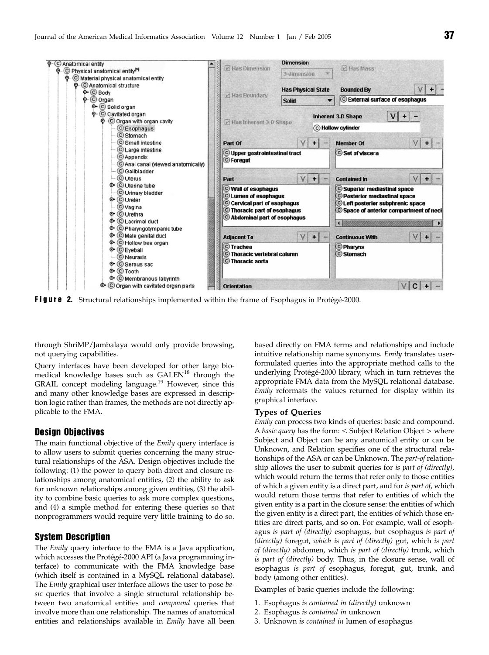

Figure 2. Structural relationships implemented within the frame of Esophagus in Protégé-2000.

through ShriMP/Jambalaya would only provide browsing, not querying capabilities.

Query interfaces have been developed for other large biomedical knowledge bases such as  $GALEN^{18}$  through the GRAIL concept modeling language.<sup>19</sup> However, since this and many other knowledge bases are expressed in description logic rather than frames, the methods are not directly applicable to the FMA.

## Design Objectives

The main functional objective of the *Emily* query interface is to allow users to submit queries concerning the many structural relationships of the ASA. Design objectives include the following: (1) the power to query both direct and closure relationships among anatomical entities, (2) the ability to ask for unknown relationships among given entities, (3) the ability to combine basic queries to ask more complex questions, and (4) a simple method for entering these queries so that nonprogrammers would require very little training to do so.

## System Description

The Emily query interface to the FMA is a Java application, which accesses the Protégé-2000 API (a Java programming interface) to communicate with the FMA knowledge base (which itself is contained in a MySQL relational database). The Emily graphical user interface allows the user to pose basic queries that involve a single structural relationship between two anatomical entities and compound queries that involve more than one relationship. The names of anatomical entities and relationships available in Emily have all been based directly on FMA terms and relationships and include intuitive relationship name synonyms. Emily translates userformulated queries into the appropriate method calls to the underlying Protégé-2000 library, which in turn retrieves the appropriate FMA data from the MySQL relational database. Emily reformats the values returned for display within its graphical interface.

## Types of Queries

Emily can process two kinds of queries: basic and compound. A basic query has the form:  $<$  Subject Relation Object  $>$  where Subject and Object can be any anatomical entity or can be Unknown, and Relation specifies one of the structural relationships of the ASA or can be Unknown. The part-of relationship allows the user to submit queries for is part of (directly), which would return the terms that refer only to those entities of which a given entity is a direct part, and for is part of, which would return those terms that refer to entities of which the given entity is a part in the closure sense: the entities of which the given entity is a direct part, the entities of which those entities are direct parts, and so on. For example, wall of esophagus is part of (directly) esophagus, but esophagus is part of (directly) foregut, which is part of (directly) gut, which is part of (directly) abdomen, which is part of (directly) trunk, which is part of (directly) body. Thus, in the closure sense, wall of esophagus is part of esophagus, foregut, gut, trunk, and body (among other entities).

Examples of basic queries include the following:

- 1. Esophagus is contained in (directly) unknown
- 2. Esophagus is contained in unknown
- 3. Unknown is contained in lumen of esophagus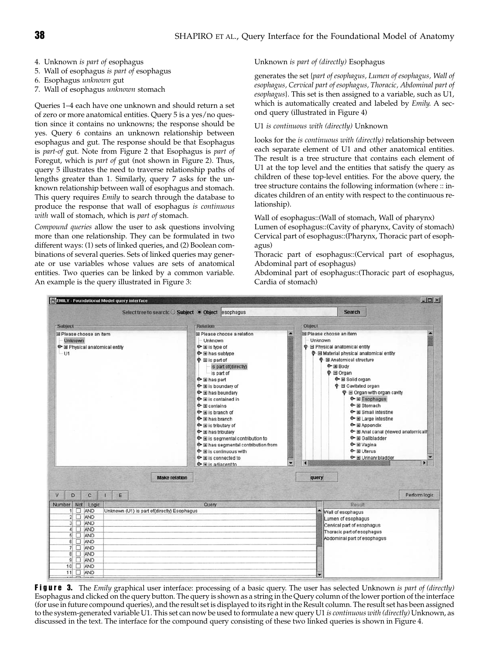- 4. Unknown is part of esophagus
- 5. Wall of esophagus is part of esophagus
- 6. Esophagus unknown gut
- 7. Wall of esophagus unknown stomach

Queries 1–4 each have one unknown and should return a set of zero or more anatomical entities. Query 5 is a yes/no question since it contains no unknowns; the response should be yes. Query 6 contains an unknown relationship between esophagus and gut. The response should be that Esophagus is part-of gut. Note from Figure 2 that Esophagus is part of Foregut, which is part of gut (not shown in Figure 2). Thus, query 5 illustrates the need to traverse relationship paths of lengths greater than 1. Similarly, query 7 asks for the unknown relationship between wall of esophagus and stomach. This query requires *Emily* to search through the database to produce the response that wall of esophagus is continuous with wall of stomach, which is part of stomach.

Compound queries allow the user to ask questions involving more than one relationship. They can be formulated in two different ways: (1) sets of linked queries, and (2) Boolean combinations of several queries. Sets of linked queries may generate or use variables whose values are sets of anatomical entities. Two queries can be linked by a common variable. An example is the query illustrated in Figure 3:

## Unknown is part of (directly) Esophagus

generates the set {part of esophagus, Lumen of esophagus, Wall of esophagus, Cervical part of esophagus, Thoracic, Abdominal part of esophagus}. This set is then assigned to a variable, such as U1, which is automatically created and labeled by Emily. A second query (illustrated in Figure 4)

## U1 is continuous with (directly) Unknown

looks for the is continuous with (directly) relationship between each separate element of U1 and other anatomical entities. The result is a tree structure that contains each element of U1 at the top level and the entities that satisfy the query as children of these top-level entities. For the above query, the tree structure contains the following information (where :: indicates children of an entity with respect to the continuous relationship).

Wall of esophagus::(Wall of stomach, Wall of pharynx)

Lumen of esophagus::(Cavity of pharynx, Cavity of stomach) Cervical part of esophagus::(Pharynx, Thoracic part of esophagus)

Thoracic part of esophagus::(Cervical part of esophagus, Abdominal part of esophagus)

Abdominal part of esophagus::(Thoracic part of esophagus, Cardia of stomach)



Figure 3. The Emily graphical user interface: processing of a basic query. The user has selected Unknown is part of (directly) Esophagus and clicked on the query button. The query is shown as a string in the Query column of the lower portion of the interface (for use in future compound queries), and the result set is displayed to its right in the Result column. The result set has been assigned to the system-generated variable U1. This set can now be used to formulate a new query U1 is continuous with (directly) Unknown, as discussed in the text. The interface for the compound query consisting of these two linked queries is shown in Figure 4.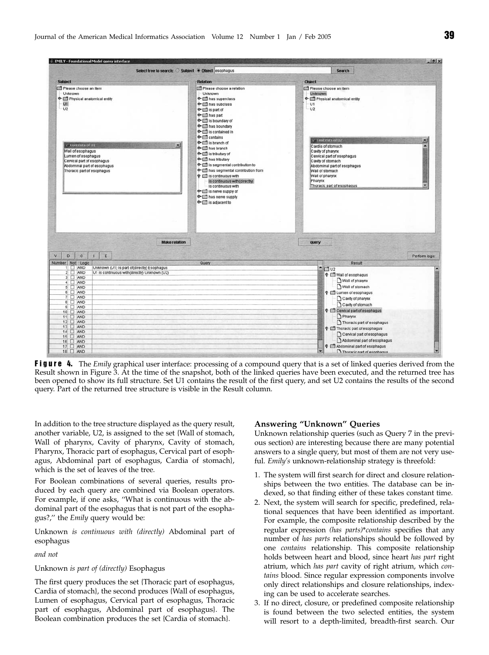

Figure 4. The Emily graphical user interface: processing of a compound query that is a set of linked queries derived from the Result shown in Figure 3. At the time of the snapshot, both of the linked queries have been executed, and the returned tree has been opened to show its full structure. Set U1 contains the result of the first query, and set U2 contains the results of the second query. Part of the returned tree structure is visible in the Result column.

In addition to the tree structure displayed as the query result, another variable, U2, is assigned to the set {Wall of stomach, Wall of pharynx, Cavity of pharynx, Cavity of stomach, Pharynx, Thoracic part of esophagus, Cervical part of esophagus, Abdominal part of esophagus, Cardia of stomach}, which is the set of leaves of the tree.

For Boolean combinations of several queries, results produced by each query are combined via Boolean operators. For example, if one asks, ''What is continuous with the abdominal part of the esophagus that is not part of the esophagus?,'' the Emily query would be:

Unknown is continuous with (directly) Abdominal part of esophagus

and not

Unknown is part of (directly) Esophagus

The first query produces the set {Thoracic part of esophagus, Cardia of stomach}, the second produces {Wall of esophagus, Lumen of esophagus, Cervical part of esophagus, Thoracic part of esophagus, Abdominal part of esophagus}. The Boolean combination produces the set {Cardia of stomach}.

#### Answering ''Unknown'' Queries

Unknown relationship queries (such as Query 7 in the previous section) are interesting because there are many potential answers to a single query, but most of them are not very useful. Emily's unknown-relationship strategy is threefold:

- 1. The system will first search for direct and closure relationships between the two entities. The database can be indexed, so that finding either of these takes constant time.
- 2. Next, the system will search for specific, predefined, relational sequences that have been identified as important. For example, the composite relationship described by the regular expression (has parts)\*contains specifies that any number of has parts relationships should be followed by one contains relationship. This composite relationship holds between heart and blood, since heart has part right atrium, which has part cavity of right atrium, which contains blood. Since regular expression components involve only direct relationships and closure relationships, indexing can be used to accelerate searches.
- 3. If no direct, closure, or predefined composite relationship is found between the two selected entities, the system will resort to a depth-limited, breadth-first search. Our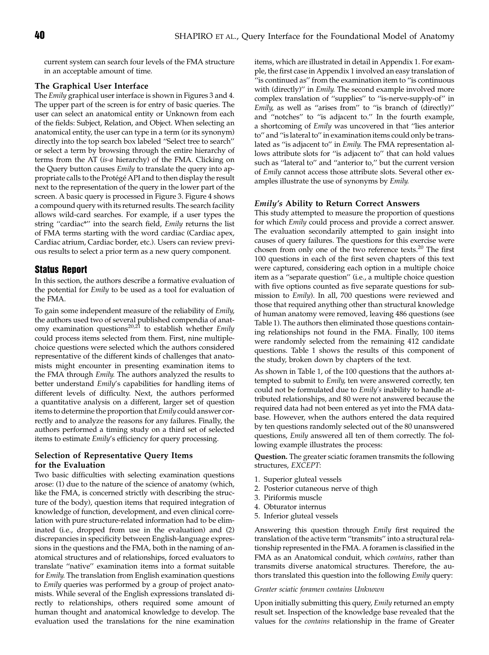current system can search four levels of the FMA structure in an acceptable amount of time.

## The Graphical User Interface

The Emily graphical user interface is shown in Figures 3 and 4. The upper part of the screen is for entry of basic queries. The user can select an anatomical entity or Unknown from each of the fields: Subject, Relation, and Object. When selecting an anatomical entity, the user can type in a term (or its synonym) directly into the top search box labeled ''Select tree to search'' or select a term by browsing through the entire hierarchy of terms from the AT (is-a hierarchy) of the FMA. Clicking on the Query button causes *Emily* to translate the query into appropriate calls to the Protégé API and to then display the result next to the representation of the query in the lower part of the screen. A basic query is processed in Figure 3. Figure 4 shows a compound query with its returned results. The search facility allows wild-card searches. For example, if a user types the string "cardiac\*" into the search field, Emily returns the list of FMA terms starting with the word cardiac (Cardiac apex, Cardiac atrium, Cardiac border, etc.). Users can review previous results to select a prior term as a new query component.

## Status Report

In this section, the authors describe a formative evaluation of the potential for Emily to be used as a tool for evaluation of the FMA.

To gain some independent measure of the reliability of Emily, the authors used two of several published compendia of anatomy examination questions<sup>20,21</sup> to establish whether *Emily* could process items selected from them. First, nine multiplechoice questions were selected which the authors considered representative of the different kinds of challenges that anatomists might encounter in presenting examination items to the FMA through Emily. The authors analyzed the results to better understand Emily's capabilities for handling items of different levels of difficulty. Next, the authors performed a quantitative analysis on a different, larger set of question items to determine the proportion that Emily could answer correctly and to analyze the reasons for any failures. Finally, the authors performed a timing study on a third set of selected items to estimate Emily's efficiency for query processing.

## Selection of Representative Query Items for the Evaluation

Two basic difficulties with selecting examination questions arose: (1) due to the nature of the science of anatomy (which, like the FMA, is concerned strictly with describing the structure of the body), question items that required integration of knowledge of function, development, and even clinical correlation with pure structure-related information had to be eliminated (i.e., dropped from use in the evaluation) and (2) discrepancies in specificity between English-language expressions in the questions and the FMA, both in the naming of anatomical structures and of relationships, forced evaluators to translate ''native'' examination items into a format suitable for Emily. The translation from English examination questions to Emily queries was performed by a group of project anatomists. While several of the English expressions translated directly to relationships, others required some amount of human thought and anatomical knowledge to develop. The evaluation used the translations for the nine examination

items, which are illustrated in detail in Appendix 1. For example, the first case in Appendix 1 involved an easy translation of ''is continued as'' from the examination item to ''is continuous with (directly)" in *Emily*. The second example involved more complex translation of ''supplies'' to ''is-nerve-supply-of'' in Emily, as well as ''arises from'' to ''is branch of (directly)'' and ''notches'' to ''is adjacent to.'' In the fourth example, a shortcoming of Emily was uncovered in that ''lies anterior to'' and ''is lateral to'' in examination items could only be translated as ''is adjacent to'' in Emily. The FMA representation allows attribute slots for ''is adjacent to'' that can hold values such as ''lateral to'' and ''anterior to,'' but the current version of Emily cannot access those attribute slots. Several other examples illustrate the use of synonyms by Emily.

## Emily's Ability to Return Correct Answers

This study attempted to measure the proportion of questions for which Emily could process and provide a correct answer. The evaluation secondarily attempted to gain insight into causes of query failures. The questions for this exercise were chosen from only one of the two reference texts.<sup>20</sup> The first 100 questions in each of the first seven chapters of this text were captured, considering each option in a multiple choice item as a ''separate question'' (i.e., a multiple choice question with five options counted as five separate questions for submission to Emily). In all, 700 questions were reviewed and those that required anything other than structural knowledge of human anatomy were removed, leaving 486 questions (see Table 1). The authors then eliminated those questions containing relationships not found in the FMA. Finally, 100 items were randomly selected from the remaining 412 candidate questions. Table 1 shows the results of this component of the study, broken down by chapters of the text.

As shown in Table 1, of the 100 questions that the authors attempted to submit to Emily, ten were answered correctly, ten could not be formulated due to Emily's inability to handle attributed relationships, and 80 were not answered because the required data had not been entered as yet into the FMA database. However, when the authors entered the data required by ten questions randomly selected out of the 80 unanswered questions, Emily answered all ten of them correctly. The following example illustrates the process:

Question. The greater sciatic foramen transmits the following structures, EXCEPT:

- 1. Superior gluteal vessels
- 2. Posterior cutaneous nerve of thigh
- 3. Piriformis muscle
- 4. Obturator internus
- 5. Inferior gluteal vessels

Answering this question through Emily first required the translation of the active term ''transmits'' into a structural relationship represented in the FMA. A foramen is classified in the FMA as an Anatomical conduit, which contains, rather than transmits diverse anatomical structures. Therefore, the authors translated this question into the following Emily query:

#### Greater sciatic foramen contains Unknown

Upon initially submitting this query, Emily returned an empty result set. Inspection of the knowledge base revealed that the values for the contains relationship in the frame of Greater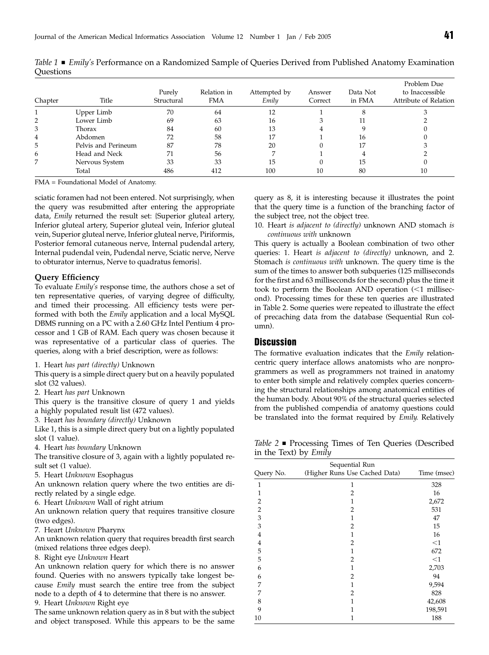| Chapter | Title               | Purely<br>Structural | Relation in<br><b>FMA</b> | Attempted by<br>Emily | Answer<br>Correct | Data Not<br>in FMA | Problem Due<br>to Inaccessible<br>Attribute of Relation |
|---------|---------------------|----------------------|---------------------------|-----------------------|-------------------|--------------------|---------------------------------------------------------|
|         | Upper Limb          | 70                   | 64                        | 12                    |                   |                    |                                                         |
|         | Lower Limb          | 69                   | 63                        | 16                    |                   |                    |                                                         |
| 3       | Thorax              | 84                   | 60                        | 13                    |                   |                    |                                                         |
| 4       | Abdomen             | 72                   | 58                        | 17                    |                   | 16                 |                                                         |
| 5       | Pelvis and Perineum | 87                   | 78                        | 20                    |                   | 17                 |                                                         |
| 6       | Head and Neck       | 71                   | 56                        |                       |                   |                    |                                                         |
| 7       | Nervous System      | 33                   | 33                        | 15                    |                   | 15                 |                                                         |
|         | Total               | 486                  | 412                       | 100                   |                   | 80                 | 10                                                      |

Table 1 ■ Emily's Performance on a Randomized Sample of Queries Derived from Published Anatomy Examination Questions

FMA = Foundational Model of Anatomy.

sciatic foramen had not been entered. Not surprisingly, when the query was resubmitted after entering the appropriate data, Emily returned the result set: {Superior gluteal artery, Inferior gluteal artery, Superior gluteal vein, Inferior gluteal vein, Superior gluteal nerve, Inferior gluteal nerve, Piriformis, Posterior femoral cutaneous nerve, Internal pudendal artery, Internal pudendal vein, Pudendal nerve, Sciatic nerve, Nerve to obturator internus, Nerve to quadratus femoris}.

#### Query Efficiency

To evaluate Emily's response time, the authors chose a set of ten representative queries, of varying degree of difficulty, and timed their processing. All efficiency tests were performed with both the Emily application and a local MySQL DBMS running on a PC with a 2.60 GHz Intel Pentium 4 processor and 1 GB of RAM. Each query was chosen because it was representative of a particular class of queries. The queries, along with a brief description, were as follows:

1. Heart has part (directly) Unknown

This query is a simple direct query but on a heavily populated slot (32 values).

2. Heart has part Unknown

This query is the transitive closure of query 1 and yields a highly populated result list (472 values).

3. Heart has boundary (directly) Unknown

Like 1, this is a simple direct query but on a lightly populated slot (1 value).

4. Heart has boundary Unknown

The transitive closure of 3, again with a lightly populated result set (1 value).

5. Heart Unknown Esophagus

An unknown relation query where the two entities are directly related by a single edge.

6. Heart Unknown Wall of right atrium

An unknown relation query that requires transitive closure (two edges).

7. Heart Unknown Pharynx

An unknown relation query that requires breadth first search (mixed relations three edges deep).

8. Right eye Unknown Heart

An unknown relation query for which there is no answer found. Queries with no answers typically take longest because Emily must search the entire tree from the subject node to a depth of 4 to determine that there is no answer.

9. Heart Unknown Right eye

The same unknown relation query as in 8 but with the subject and object transposed. While this appears to be the same query as 8, it is interesting because it illustrates the point that the query time is a function of the branching factor of the subject tree, not the object tree.

10. Heart is adjacent to (directly) unknown AND stomach is continuous with unknown

This query is actually a Boolean combination of two other queries: 1. Heart is adjacent to (directly) unknown, and 2. Stomach is continuous with unknown. The query time is the sum of the times to answer both subqueries (125 milliseconds for the first and 63 milliseconds for the second) plus the time it took to perform the Boolean AND operation  $\leq 1$  millisecond). Processing times for these ten queries are illustrated in Table 2. Some queries were repeated to illustrate the effect of precaching data from the database (Sequential Run column).

## **Discussion**

The formative evaluation indicates that the Emily relationcentric query interface allows anatomists who are nonprogrammers as well as programmers not trained in anatomy to enter both simple and relatively complex queries concerning the structural relationships among anatomical entities of the human body. About 90% of the structural queries selected from the published compendia of anatomy questions could be translated into the format required by Emily. Relatively

Table 2  $\blacksquare$  Processing Times of Ten Queries (Described in the Text) by Emily

|                | Sequential Run                |             |
|----------------|-------------------------------|-------------|
| Query No.      | (Higher Runs Use Cached Data) | Time (msec) |
| 1              | 1                             | 328         |
| 1              | 2                             | 16          |
| $\overline{2}$ | 1                             | 2,672       |
| $\overline{c}$ | 2                             | 531         |
| 3              | 1                             | 47          |
| 3              | 2                             | 15          |
| 4              | 1                             | 16          |
| $\overline{4}$ | $\overline{2}$                | $<$ 1       |
| 5              | 1                             | 672         |
| 5              | $\overline{2}$                | $<$ 1       |
| 6              | 1                             | 2,703       |
| 6              | $\overline{2}$                | 94          |
| 7              | 1                             | 9,594       |
| 7              | 2                             | 828         |
| 8              | 1                             | 42,608      |
| 9              | 1                             | 198,591     |
| 10             | 1                             | 188         |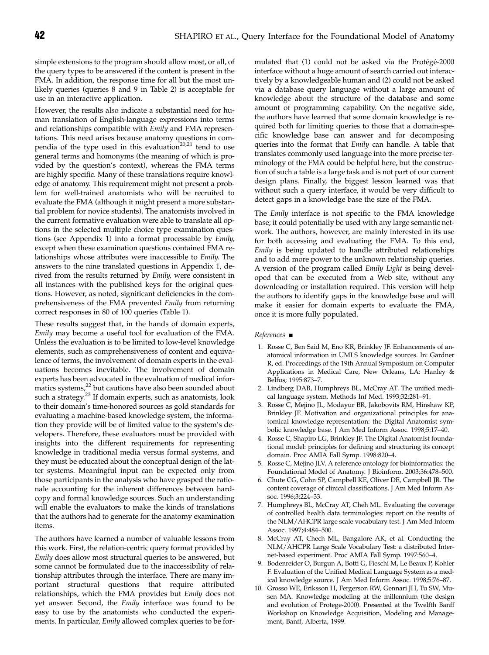simple extensions to the program should allow most, or all, of the query types to be answered if the content is present in the FMA. In addition, the response time for all but the most unlikely queries (queries 8 and 9 in Table 2) is acceptable for use in an interactive application.

However, the results also indicate a substantial need for human translation of English-language expressions into terms and relationships compatible with Emily and FMA representations. This need arises because anatomy questions in compendia of the type used in this evaluation<sup>20,21</sup> tend to use general terms and homonyms (the meaning of which is provided by the question's context), whereas the FMA terms are highly specific. Many of these translations require knowledge of anatomy. This requirement might not present a problem for well-trained anatomists who will be recruited to evaluate the FMA (although it might present a more substantial problem for novice students). The anatomists involved in the current formative evaluation were able to translate all options in the selected multiple choice type examination questions (see Appendix 1) into a format processable by Emily, except when these examination questions contained FMA relationships whose attributes were inaccessible to Emily. The answers to the nine translated questions in Appendix 1, derived from the results returned by Emily, were consistent in all instances with the published keys for the original questions. However, as noted, significant deficiencies in the comprehensiveness of the FMA prevented Emily from returning correct responses in 80 of 100 queries (Table 1).

These results suggest that, in the hands of domain experts, Emily may become a useful tool for evaluation of the FMA. Unless the evaluation is to be limited to low-level knowledge elements, such as comprehensiveness of content and equivalence of terms, the involvement of domain experts in the evaluations becomes inevitable. The involvement of domain experts has been advocated in the evaluation of medical informatics systems,<sup>22</sup> but cautions have also been sounded about such a strategy.<sup>23</sup> If domain experts, such as anatomists, look to their domain's time-honored sources as gold standards for evaluating a machine-based knowledge system, the information they provide will be of limited value to the system's developers. Therefore, these evaluators must be provided with insights into the different requirements for representing knowledge in traditional media versus formal systems, and they must be educated about the conceptual design of the latter systems. Meaningful input can be expected only from those participants in the analysis who have grasped the rationale accounting for the inherent differences between hardcopy and formal knowledge sources. Such an understanding will enable the evaluators to make the kinds of translations that the authors had to generate for the anatomy examination items.

The authors have learned a number of valuable lessons from this work. First, the relation-centric query format provided by Emily does allow most structural queries to be answered, but some cannot be formulated due to the inaccessibility of relationship attributes through the interface. There are many important structural questions that require attributed relationships, which the FMA provides but Emily does not yet answer. Second, the Emily interface was found to be easy to use by the anatomists who conducted the experiments. In particular, Emily allowed complex queries to be formulated that (1) could not be asked via the Protégé-2000 interface without a huge amount of search carried out interactively by a knowledgeable human and (2) could not be asked via a database query language without a large amount of knowledge about the structure of the database and some amount of programming capability. On the negative side, the authors have learned that some domain knowledge is required both for limiting queries to those that a domain-specific knowledge base can answer and for decomposing queries into the format that Emily can handle. A table that translates commonly used language into the more precise terminology of the FMA could be helpful here, but the construction of such a table is a large task and is not part of our current design plans. Finally, the biggest lesson learned was that without such a query interface, it would be very difficult to detect gaps in a knowledge base the size of the FMA.

The *Emily* interface is not specific to the FMA knowledge base; it could potentially be used with any large semantic network. The authors, however, are mainly interested in its use for both accessing and evaluating the FMA. To this end, Emily is being updated to handle attributed relationships and to add more power to the unknown relationship queries. A version of the program called Emily Light is being developed that can be executed from a Web site, without any downloading or installation required. This version will help the authors to identify gaps in the knowledge base and will make it easier for domain experts to evaluate the FMA, once it is more fully populated.

#### $References \blacksquare$

- 1. Rosse C, Ben Said M, Eno KR, Brinkley JF. Enhancements of anatomical information in UMLS knowledge sources. In: Gardner R, ed. Proceedings of the 19th Annual Symposium on Computer Applications in Medical Care, New Orleans, LA: Hanley & Belfus; 1995:873–7.
- 2. Lindberg DAB, Humphreys BL, McCray AT. The unified medical language system. Methods Inf Med. 1993;32:281–91.
- 3. Rosse C, Mejino JL, Modayur BR, Jakobovits RM, Hinshaw KP, Brinkley JF. Motivation and organizational principles for anatomical knowledge representation: the Digital Anatomist symbolic knowledge base. J Am Med Inform Assoc. 1998;5:17–40.
- 4. Rosse C, Shapiro LG, Brinkley JF. The Digital Anatomist foundational model: principles for defining and structuring its concept domain. Proc AMIA Fall Symp. 1998:820–4.
- 5. Rosse C, Mejino JLV. A reference ontology for bioinformatics: the Foundational Model of Anatomy. J Bioinform. 2003;36:478–500.
- 6. Chute CG, Cohn SP, Campbell KE, Oliver DE, Campbell JR. The content coverage of clinical classifications. J Am Med Inform Assoc. 1996;3:224–33.
- 7. Humphreys BL, McCray AT, Cheh ML. Evaluating the coverage of controlled health data terminologies: report on the results of the NLM/AHCPR large scale vocabulary test. J Am Med Inform Assoc. 1997;4:484–500.
- 8. McCray AT, Chech ML, Bangalore AK, et al. Conducting the NLM/AHCPR Large Scale Vocabulary Test: a distributed Internet-based experiment. Proc AMIA Fall Symp. 1997:560–4.
- 9. Bodenreider O, Burgun A, Botti G, Fieschi M, Le Beaux P, Kohler F. Evaluation of the Unified Medical Language System as a medical knowledge source. J Am Med Inform Assoc. 1998;5:76–87.
- 10. Grosso WE, Eriksson H, Fergerson RW, Gennari JH, Tu SW, Musen MA. Knowledge modeling at the millennium (the design and evolution of Protege-2000). Presented at the Twelfth Banff Workshop on Knowledge Acquisition, Modeling and Management, Banff, Alberta, 1999.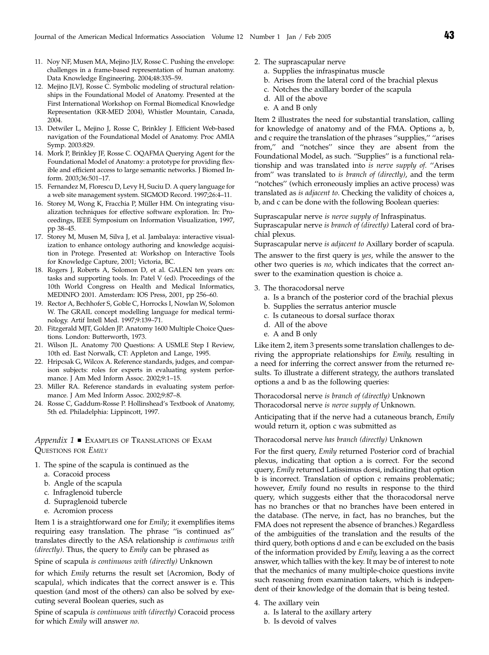- 11. Noy NF, Musen MA, Mejino JLV, Rosse C. Pushing the envelope: challenges in a frame-based representation of human anatomy. Data Knowledge Engineering. 2004;48:335–59.
- 12. Mejino JLVJ, Rosse C. Symbolic modeling of structural relationships in the Foundational Model of Anatomy. Presented at the First International Workshop on Formal Biomedical Knowledge Representation (KR-MED 2004), Whistler Mountain, Canada, 2004.
- 13. Detwiler L, Mejino J, Rosse C, Brinkley J. Efficient Web-based navigation of the Foundational Model of Anatomy. Proc AMIA Symp. 2003:829.
- 14. Mork P, Brinkley JF, Rosse C. OQAFMA Querying Agent for the Foundational Model of Anatomy: a prototype for providing flexible and efficient access to large semantic networks. J Biomed Inform. 2003;36:501–17.
- 15. Fernandez M, Florescu D, Levy H, Suciu D. A query language for a web site management system. SIGMOD Record. 1997;26:4–11.
- 16. Storey M, Wong K, Fracchia P, Müller HM. On integrating visualization techniques for effective software exploration. In: Proceedings, IEEE Symposium on Information Visualization, 1997, pp 38–45.
- 17. Storey M, Musen M, Silva J, et al. Jambalaya: interactive visualization to enhance ontology authoring and knowledge acquisition in Protege. Presented at: Workshop on Interactive Tools for Knowledge Capture, 2001; Victoria, BC.
- 18. Rogers J, Roberts A, Solomon D, et al. GALEN ten years on: tasks and supporting tools. In: Patel V (ed). Proceedings of the 10th World Congress on Health and Medical Informatics, MEDINFO 2001. Amsterdam: IOS Press, 2001, pp 256–60.
- 19. Rector A, Bechhofer S, Goble C, Horrocks I, Nowlan W, Solomon W. The GRAIL concept modelling language for medical terminology. Artif Intell Med. 1997;9:139–71.
- 20. Fitzgerald MJT, Golden JP. Anatomy 1600 Multiple Choice Questions. London: Butterworth, 1973.
- 21. Wilson JL. Anatomy 700 Questions: A USMLE Step I Review, 10th ed. East Norwalk, CT: Appleton and Lange, 1995.
- 22. Hripcsak G, Wilcox A. Reference standards, judges, and comparison subjects: roles for experts in evaluating system performance. J Am Med Inform Assoc. 2002;9:1–15.
- 23. Miller RA. Reference standards in evaluating system performance. J Am Med Inform Assoc. 2002;9:87–8.
- 24. Rosse C, Gaddum-Rosse P. Hollinshead's Textbook of Anatomy, 5th ed. Philadelphia: Lippincott, 1997.

Appendix  $1 \blacksquare$  EXAMPLES OF TRANSLATIONS OF EXAM QUESTIONS FOR EMILY

- 1. The spine of the scapula is continued as the
	- a. Coracoid process
	- b. Angle of the scapula
	- c. Infraglenoid tubercle
	- d. Supraglenoid tubercle
	- e. Acromion process

Item 1 is a straightforward one for Emily; it exemplifies items requiring easy translation. The phrase ''is continued as'' translates directly to the ASA relationship is continuous with (directly). Thus, the query to Emily can be phrased as

Spine of scapula is continuous with (directly) Unknown

for which Emily returns the result set {Acromion, Body of scapula}, which indicates that the correct answer is e. This question (and most of the others) can also be solved by executing several Boolean queries, such as

Spine of scapula is continuous with (directly) Coracoid process for which Emily will answer no.

- 2. The suprascapular nerve
	- a. Supplies the infraspinatus muscle
	- b. Arises from the lateral cord of the brachial plexus
	- c. Notches the axillary border of the scapula
	- d. All of the above
	- e. A and B only

Item 2 illustrates the need for substantial translation, calling for knowledge of anatomy and of the FMA. Options a, b, and c require the translation of the phrases ''supplies,'' ''arises from,'' and ''notches'' since they are absent from the Foundational Model, as such. ''Supplies'' is a functional relationship and was translated into is nerve supply of. ''Arises from'' was translated to is branch of (directly), and the term "notches" (which erroneously implies an active process) was translated as is adjacent to. Checking the validity of choices a, b, and c can be done with the following Boolean queries:

Suprascapular nerve is nerve supply of Infraspinatus. Suprascapular nerve is branch of (directly) Lateral cord of brachial plexus.

Suprascapular nerve is adjacent to Axillary border of scapula.

The answer to the first query is *yes*, while the answer to the other two queries is no, which indicates that the correct answer to the examination question is choice a.

- 3. The thoracodorsal nerve
	- a. Is a branch of the posterior cord of the brachial plexus
	- b. Supplies the serratus anterior muscle
	- c. Is cutaneous to dorsal surface thorax
	- d. All of the above
	- e. A and B only

Like item 2, item 3 presents some translation challenges to deriving the appropriate relationships for *Emily*, resulting in a need for inferring the correct answer from the returned results. To illustrate a different strategy, the authors translated options a and b as the following queries:

Thoracodorsal nerve is branch of (directly) Unknown Thoracodorsal nerve is nerve supply of Unknown.

Anticipating that if the nerve had a cutaneous branch, Emily would return it, option c was submitted as

### Thoracodorsal nerve has branch (directly) Unknown

For the first query, Emily returned Posterior cord of brachial plexus, indicating that option a is correct. For the second query, Emily returned Latissimus dorsi, indicating that option b is incorrect. Translation of option c remains problematic; however, Emily found no results in response to the third query, which suggests either that the thoracodorsal nerve has no branches or that no branches have been entered in the database. (The nerve, in fact, has no branches, but the FMA does not represent the absence of branches.) Regardless of the ambiguities of the translation and the results of the third query, both options d and e can be excluded on the basis of the information provided by Emily, leaving a as the correct answer, which tallies with the key. It may be of interest to note that the mechanics of many multiple-choice questions invite such reasoning from examination takers, which is independent of their knowledge of the domain that is being tested.

- 4. The axillary vein
	- a. Is lateral to the axillary artery
	- b. Is devoid of valves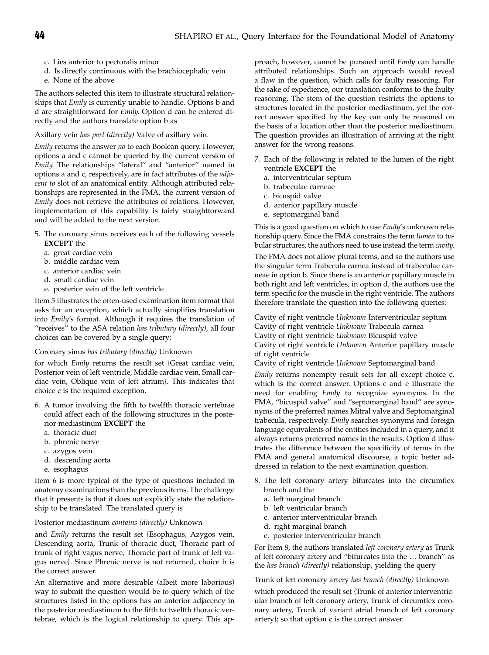- c. Lies anterior to pectoralis minor
- d. Is directly continuous with the brachiocephalic vein
- e. None of the above

The authors selected this item to illustrate structural relationships that Emily is currently unable to handle. Options b and d are straightforward for Emily. Option d can be entered directly and the authors translate option b as

#### Axillary vein has part (directly) Valve of axillary vein.

Emily returns the answer no to each Boolean query. However, options a and c cannot be queried by the current version of Emily. The relationships ''lateral'' and ''anterior'' named in options a and c, respectively, are in fact attributes of the adjacent to slot of an anatomical entity. Although attributed relationships are represented in the FMA, the current version of Emily does not retrieve the attributes of relations. However, implementation of this capability is fairly straightforward and will be added to the next version.

- 5. The coronary sinus receives each of the following vessels EXCEPT the
	- a. great cardiac vein
	- b. middle cardiac vein
	- c. anterior cardiac vein
	- d. small cardiac vein
	- e. posterior vein of the left ventricle

Item 5 illustrates the often-used examination item format that asks for an exception, which actually simplifies translation into Emily's format. Although it requires the translation of "receives" to the ASA relation has tributary (directly), all four choices can be covered by a single query:

## Coronary sinus has tributary (directly) Unknown

for which Emily returns the result set {Great cardiac vein, Posterior vein of left ventricle, Middle cardiac vein, Small cardiac vein, Oblique vein of left atrium}. This indicates that choice c is the required exception.

- 6. A tumor involving the fifth to twelfth thoracic vertebrae could affect each of the following structures in the posterior mediastinum EXCEPT the
	- a. thoracic duct
	- b. phrenic nerve
	- c. azygos vein
	- d. descending aorta
	- e. esophagus

Item 6 is more typical of the type of questions included in anatomy examinations than the previous items. The challenge that it presents is that it does not explicitly state the relationship to be translated. The translated query is

#### Posterior mediastinum contains (directly) Unknown

and Emily returns the result set {Esophagus, Azygos vein, Descending aorta, Trunk of thoracic duct, Thoracic part of trunk of right vagus nerve, Thoracic part of trunk of left vagus nerve}. Since Phrenic nerve is not returned, choice b is the correct answer.

An alternative and more desirable (albeit more laborious) way to submit the question would be to query which of the structures listed in the options has an anterior adjacency in the posterior mediastinum to the fifth to twelfth thoracic vertebrae, which is the logical relationship to query. This approach, however, cannot be pursued until Emily can handle attributed relationships. Such an approach would reveal a flaw in the question, which calls for faulty reasoning. For the sake of expedience, our translation conforms to the faulty reasoning. The stem of the question restricts the options to structures located in the posterior mediastinum, yet the correct answer specified by the key can only be reasoned on the basis of a location other than the posterior mediastinum. The question provides an illustration of arriving at the right answer for the wrong reasons.

- 7. Each of the following is related to the lumen of the right ventricle EXCEPT the
	- a. interventricular septum
	- b. trabeculae carneae
	- c. bicuspid valve
	- d. anterior papillary muscle
	- e. septomarginal band

This is a good question on which to use *Emily's* unknown relationship query. Since the FMA constrains the term lumen to tubular structures, the authors need to use instead the term cavity.

The FMA does not allow plural terms, and so the authors use the singular term Trabecula carnea instead of trabeculae carneae in option b. Since there is an anterior papillary muscle in both right and left ventricles, in option d, the authors use the term specific for the muscle in the right ventricle. The authors therefore translate the question into the following queries:

Cavity of right ventricle Unknown Interventricular septum Cavity of right ventricle Unknown Trabecula carnea Cavity of right ventricle Unknown Bicuspid valve Cavity of right ventricle Unknown Anterior papillary muscle of right ventricle

Cavity of right ventricle Unknown Septomarginal band

Emily returns nonempty result sets for all except choice c, which is the correct answer. Options c and e illustrate the need for enabling Emily to recognize synonyms. In the FMA, ''bicuspid valve'' and ''septomarginal band'' are synonyms of the preferred names Mitral valve and Septomarginal trabecula, respectively. Emily searches synonyms and foreign language equivalents of the entities included in a query, and it always returns preferred names in the results. Option d illustrates the difference between the specificity of terms in the FMA and general anatomical discourse, a topic better addressed in relation to the next examination question.

- 8. The left coronary artery bifurcates into the circumflex branch and the
	- a. left marginal branch
	- b. left ventricular branch
	- c. anterior interventricular branch
	- d. right marginal branch
	- e. posterior interventricular branch

For Item 8, the authors translated left coronary artery as Trunk of left coronary artery and "bifurcates into the ... branch" as the has branch (directly) relationship, yielding the query

Trunk of left coronary artery has branch (directly) Unknown

which produced the result set {Trunk of anterior interventricular branch of left coronary artery, Trunk of circumflex coronary artery, Trunk of variant atrial branch of left coronary artery}; so that option c is the correct answer.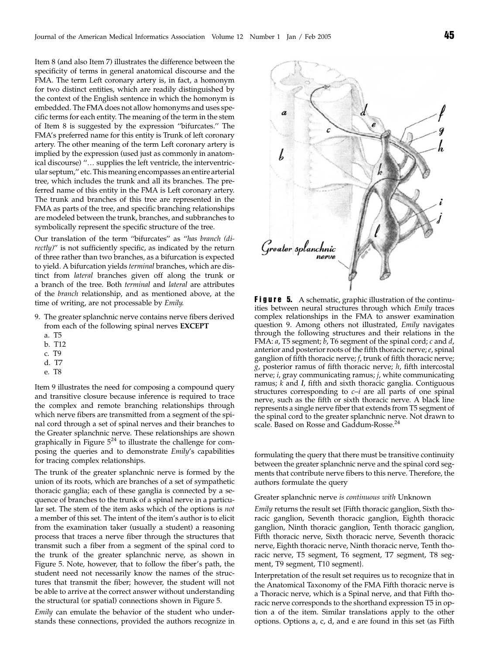Item 8 (and also Item 7) illustrates the difference between the specificity of terms in general anatomical discourse and the FMA. The term Left coronary artery is, in fact, a homonym for two distinct entities, which are readily distinguished by the context of the English sentence in which the homonym is embedded. The FMA does not allow homonyms and uses specific terms for each entity. The meaning of the term in the stem of Item 8 is suggested by the expression ''bifurcates.'' The FMA's preferred name for this entity is Trunk of left coronary artery. The other meaning of the term Left coronary artery is implied by the expression (used just as commonly in anatomical discourse) "... supplies the left ventricle, the interventricular septum,'' etc. This meaning encompasses an entire arterial tree, which includes the trunk and all its branches. The preferred name of this entity in the FMA is Left coronary artery. The trunk and branches of this tree are represented in the FMA as parts of the tree, and specific branching relationships are modeled between the trunk, branches, and subbranches to symbolically represent the specific structure of the tree.

Our translation of the term ''bifurcates'' as ''has branch (directly)" is not sufficiently specific, as indicated by the return of three rather than two branches, as a bifurcation is expected to yield. A bifurcation yields terminal branches, which are distinct from lateral branches given off along the trunk or a branch of the tree. Both terminal and lateral are attributes of the branch relationship, and as mentioned above, at the time of writing, are not processable by Emily.

- 9. The greater splanchnic nerve contains nerve fibers derived from each of the following spinal nerves EXCEPT
	- a. T5
	- b. T12
	- c. T9
	- d. T7
	- e. T8

Item 9 illustrates the need for composing a compound query and transitive closure because inference is required to trace the complex and remote branching relationships through which nerve fibers are transmitted from a segment of the spinal cord through a set of spinal nerves and their branches to the Greater splanchnic nerve. These relationships are shown graphically in Figure  $5^{24}$  to illustrate the challenge for composing the queries and to demonstrate Emily's capabilities for tracing complex relationships.

The trunk of the greater splanchnic nerve is formed by the union of its roots, which are branches of a set of sympathetic thoracic ganglia; each of these ganglia is connected by a sequence of branches to the trunk of a spinal nerve in a particular set. The stem of the item asks which of the options is not a member of this set. The intent of the item's author is to elicit from the examination taker (usually a student) a reasoning process that traces a nerve fiber through the structures that transmit such a fiber from a segment of the spinal cord to the trunk of the greater splanchnic nerve, as shown in Figure 5. Note, however, that to follow the fiber's path, the student need not necessarily know the names of the structures that transmit the fiber; however, the student will not be able to arrive at the correct answer without understanding the structural (or spatial) connections shown in Figure 5.

Emily can emulate the behavior of the student who understands these connections, provided the authors recognize in



**Figure 5.** A schematic, graphic illustration of the continuities between neural structures through which Emily traces complex relationships in the FMA to answer examination question 9. Among others not illustrated, Emily navigates through the following structures and their relations in the FMA:  $a$ , T5 segment;  $b$ , T6 segment of the spinal cord;  $c$  and  $d$ , anterior and posterior roots of the fifth thoracic nerve;  $e$ , spinal ganglion of fifth thoracic nerve; f, trunk of fifth thoracic nerve;  $g$ , posterior ramus of fifth thoracic nerve; h, fifth intercostal nerve; i, gray communicating ramus; j, white communicating ramus;  $k$  and  $l$ , fifth and sixth thoracic ganglia. Contiguous structures corresponding to  $c-i$  are all parts of one spinal nerve, such as the fifth or sixth thoracic nerve. A black line represents a single nerve fiber that extends from T5 segment of the spinal cord to the greater splanchnic nerve. Not drawn to scale. Based on Rosse and Gaddum-Rosse.<sup>24</sup>

formulating the query that there must be transitive continuity between the greater splanchnic nerve and the spinal cord segments that contribute nerve fibers to this nerve. Therefore, the authors formulate the query

Greater splanchnic nerve is continuous with Unknown

Emily returns the result set {Fifth thoracic ganglion, Sixth thoracic ganglion, Seventh thoracic ganglion, Eighth thoracic ganglion, Ninth thoracic ganglion, Tenth thoracic ganglion, Fifth thoracic nerve, Sixth thoracic nerve, Seventh thoracic nerve, Eighth thoracic nerve, Ninth thoracic nerve, Tenth thoracic nerve, T5 segment, T6 segment, T7 segment, T8 segment, T9 segment, T10 segment}.

Interpretation of the result set requires us to recognize that in the Anatomical Taxonomy of the FMA Fifth thoracic nerve is a Thoracic nerve, which is a Spinal nerve, and that Fifth thoracic nerve corresponds to the shorthand expression T5 in option a of the item. Similar translations apply to the other options. Options a, c, d, and e are found in this set (as Fifth